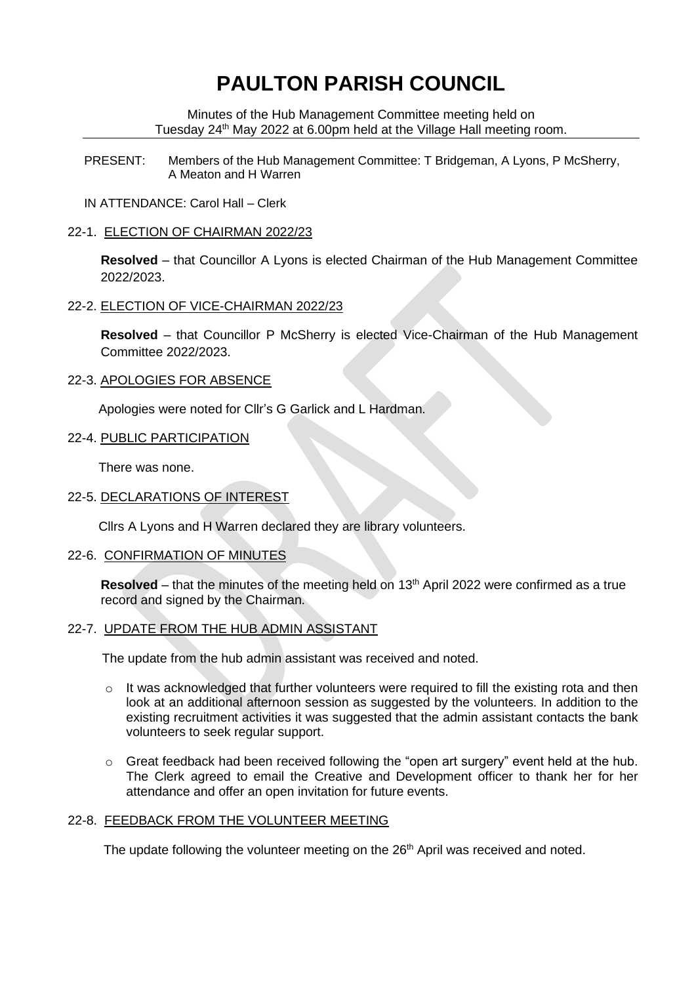# **PAULTON PARISH COUNCIL**

Minutes of the Hub Management Committee meeting held on Tuesday 24<sup>th</sup> May 2022 at 6.00pm held at the Village Hall meeting room.

PRESENT: Members of the Hub Management Committee: T Bridgeman, A Lyons, P McSherry, A Meaton and H Warren

IN ATTENDANCE: Carol Hall – Clerk

### 22-1. ELECTION OF CHAIRMAN 2022/23

**Resolved** – that Councillor A Lyons is elected Chairman of the Hub Management Committee 2022/2023.

#### 22-2. ELECTION OF VICE-CHAIRMAN 2022/23

**Resolved** – that Councillor P McSherry is elected Vice-Chairman of the Hub Management Committee 2022/2023.

#### 22-3. APOLOGIES FOR ABSENCE

Apologies were noted for Cllr's G Garlick and L Hardman.

#### 22-4. PUBLIC PARTICIPATION

There was none.

# 22-5. DECLARATIONS OF INTEREST

Cllrs A Lyons and H Warren declared they are library volunteers.

#### 22-6. CONFIRMATION OF MINUTES

**Resolved** – that the minutes of the meeting held on 13<sup>th</sup> April 2022 were confirmed as a true record and signed by the Chairman.

#### 22-7. UPDATE FROM THE HUB ADMIN ASSISTANT

The update from the hub admin assistant was received and noted.

- $\circ$  It was acknowledged that further volunteers were required to fill the existing rota and then look at an additional afternoon session as suggested by the volunteers. In addition to the existing recruitment activities it was suggested that the admin assistant contacts the bank volunteers to seek regular support.
- $\circ$  Great feedback had been received following the "open art surgery" event held at the hub. The Clerk agreed to email the Creative and Development officer to thank her for her attendance and offer an open invitation for future events.

## 22-8. FEEDBACK FROM THE VOLUNTEER MEETING

The update following the volunteer meeting on the 26<sup>th</sup> April was received and noted.